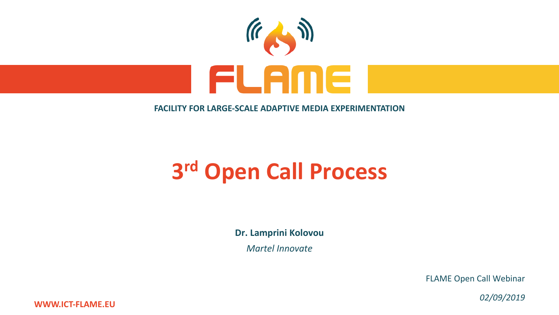

### **FACILITY FOR LARGE-SCALE ADAPTIVE MEDIA EXPERIMENTATION**

# **3rd Open Call Process**

**Dr. Lamprini Kolovou**

*Martel Innovate*

FLAME Open Call Webinar

*02/09/2019*

**WWW.ICT-FLAME.EU**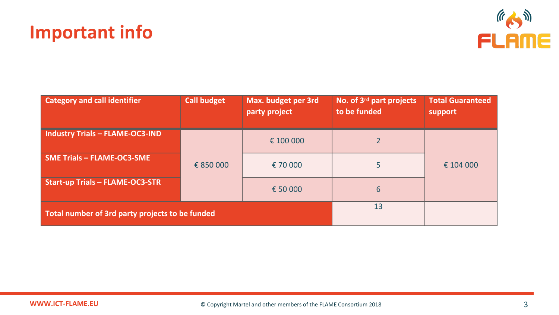**Total number of 3rd party projects to be funded**

| <b>WWW.ICT-FLAME.EU</b> |  |
|-------------------------|--|

**Important info**

**Category and call identifier <b>Call Call** 

**Industry Trials – FLAME-OC3-IND**

**Start-up Trials – FLAME-OC3-STR**

**SME Trials – FLAME-OC3-SME**

€ 850 000

| I budget | Max. budget per 3rd<br>party project | No. of 3rd part projects<br>to be funded | <b>Total Guaranteed</b><br>support |
|----------|--------------------------------------|------------------------------------------|------------------------------------|
|          | € 100 000                            |                                          |                                    |

13

€ 70 000 5

 $\epsilon$  50 000 6

## 信心儿 **FLAME**

€ 104 000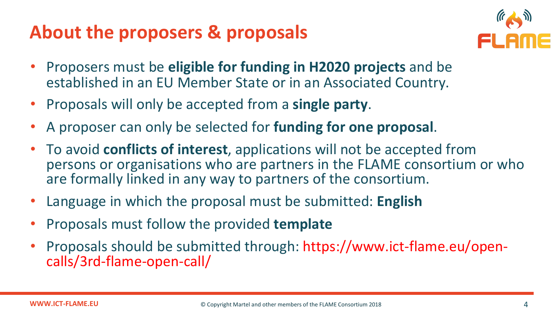### **About the proposers & proposals**



- Proposers must be **eligible for funding in H2020 projects** and be established in an EU Member State or in an Associated Country.
- Proposals will only be accepted from a **single party**.
- A proposer can only be selected for **funding for one proposal**.
- To avoid **conflicts of interest**, applications will not be accepted from persons or organisations who are partners in the FLAME consortium or who are formally linked in any way to partners of the consortium.
- Language in which the proposal must be submitted: **English**
- Proposals must follow the provided **template**
- Proposals should be submitted through: https://www.ict-flame.eu/open- calls/3rd-flame-open-call/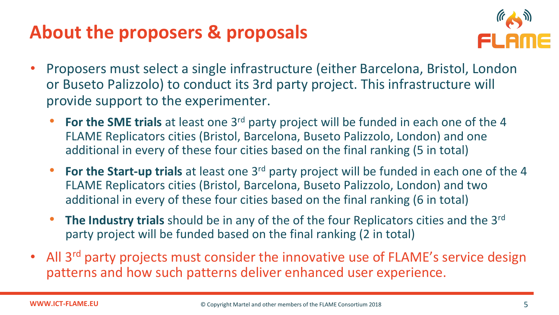### **About the proposers & proposals**



- Proposers must select a single infrastructure (either Barcelona, Bristol, London or Buseto Palizzolo) to conduct its 3rd party project. This infrastructure will provide support to the experimenter.
	- **For the SME trials** at least one 3rd party project will be funded in each one of the 4 FLAME Replicators cities (Bristol, Barcelona, Buseto Palizzolo, London) and one additional in every of these four cities based on the final ranking (5 in total)
	- **For the Start-up trials** at least one 3rd party project will be funded in each one of the 4 FLAME Replicators cities (Bristol, Barcelona, Buseto Palizzolo, London) and two additional in every of these four cities based on the final ranking (6 in total)
	- **The Industry trials** should be in any of the of the four Replicators cities and the 3rd party project will be funded based on the final ranking (2 in total)
- All 3<sup>rd</sup> party projects must consider the innovative use of FLAME's service design patterns and how such patterns deliver enhanced user experience.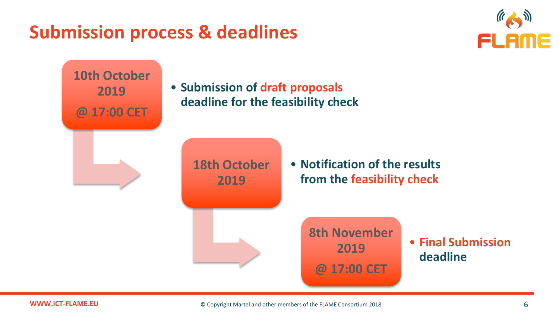### **Submission process & deadlines**



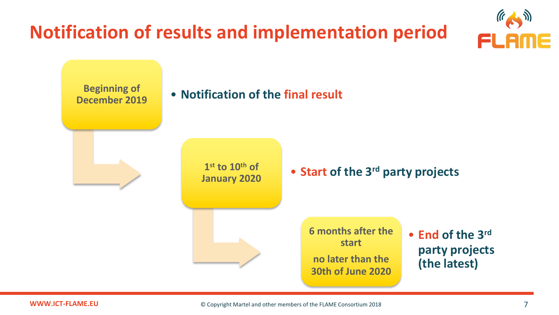### **Notification of results and implementation period**



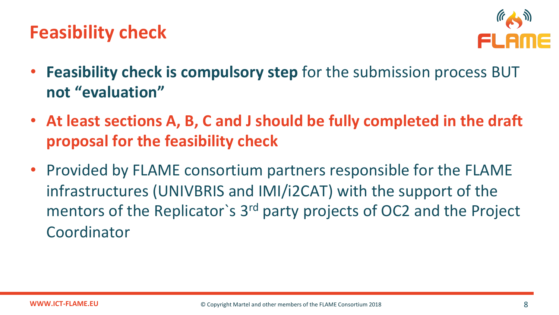### **Feasibility check**



- **Feasibility check is compulsory step** for the submission process BUT **not "evaluation"**
- **At least sections A, B, C and J should be fully completed in the draft proposal for the feasibility check**
- Provided by FLAME consortium partners responsible for the FLAME infrastructures (UNIVBRIS and IMI/i2CAT) with the support of the mentors of the Replicator's 3<sup>rd</sup> party projects of OC2 and the Project Coordinator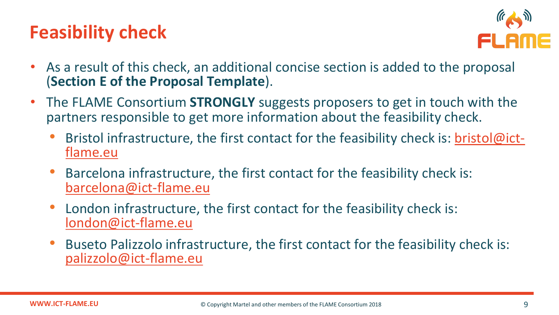### **Feasibility check**



- As a result of this check, an additional concise section is added to the proposal (**Section E of the Proposal Template**).
- The FLAME Consortium **STRONGLY** suggests proposers to get in touch with the partners responsible to get more information about the feasibility check.
	- Bristol infrastructure, the first contact for the feasibility check is: **bristol@ict-** flame.eu
	- Barcelona infrastructure, the first contact for the feasibility check is: [barcelona@ict-flame.eu](mailto:barcelona@ict-flame.eu)
	- London infrastructure, the first contact for the feasibility check is: [london@ict-flame.eu](mailto:london@ict-flame.eu)
	- Buseto Palizzolo infrastructure, the first contact for the feasibility check is: [palizzolo@ict-flame.eu](mailto:palizzolo@ict-flame.eu)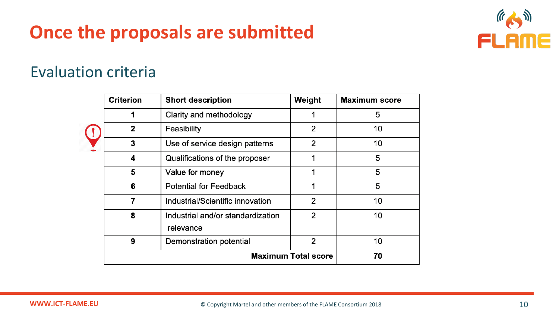### **Once the proposals are submitted**



### Evaluation criteria

| <b>Criterion</b>           | <b>Short description</b>                       | Weight | <b>Maximum score</b> |
|----------------------------|------------------------------------------------|--------|----------------------|
|                            | Clarity and methodology                        |        | 5                    |
| 2                          | Feasibility                                    | 2      | 10                   |
| 3                          | Use of service design patterns                 | 2      | 10                   |
| 4                          | Qualifications of the proposer                 |        | 5                    |
| 5                          | Value for money                                |        | 5                    |
| 6                          | <b>Potential for Feedback</b>                  | 1      | 5                    |
| $\overline{7}$             | Industrial/Scientific innovation               | 2      | 10                   |
| 8                          | Industrial and/or standardization<br>relevance | 2      | 10                   |
| 9                          | Demonstration potential                        | 2      | 10                   |
| <b>Maximum Total score</b> |                                                |        | 70                   |